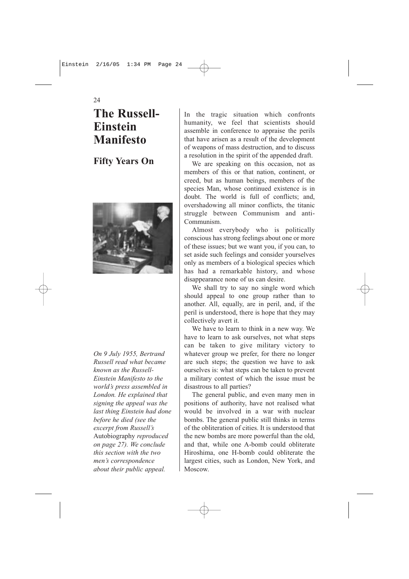# **The Russell-Einstein Manifesto**

 $24$ 

### **Fifty Years On**



*On 9 July 1955, Bertrand Russell read what became known as the Russell-Einstein Manifesto to the world's press assembled in London. He explained that signing the appeal was the last thing Einstein had done before he died (see the excerpt from Russell's* Autobiography *reproduced on page 27). We conclude this section with the two men's correspondence about their public appeal.*

In the tragic situation which confronts humanity, we feel that scientists should assemble in conference to appraise the perils that have arisen as a result of the development of weapons of mass destruction, and to discuss a resolution in the spirit of the appended draft.

We are speaking on this occasion, not as members of this or that nation, continent, or creed, but as human beings, members of the species Man, whose continued existence is in doubt. The world is full of conflicts; and, overshadowing all minor conflicts, the titanic struggle between Communism and anti-Communism.

Almost everybody who is politically conscious has strong feelings about one or more of these issues; but we want you, if you can, to set aside such feelings and consider yourselves only as members of a biological species which has had a remarkable history, and whose disappearance none of us can desire.

We shall try to say no single word which should appeal to one group rather than to another. All, equally, are in peril, and, if the peril is understood, there is hope that they may collectively avert it.

We have to learn to think in a new way. We have to learn to ask ourselves, not what steps can be taken to give military victory to whatever group we prefer, for there no longer are such steps; the question we have to ask ourselves is: what steps can be taken to prevent a military contest of which the issue must be disastrous to all parties?

The general public, and even many men in positions of authority, have not realised what would be involved in a war with nuclear bombs. The general public still thinks in terms of the obliteration of cities. It is understood that the new bombs are more powerful than the old, and that, while one A-bomb could obliterate Hiroshima, one H-bomb could obliterate the largest cities, such as London, New York, and Moscow.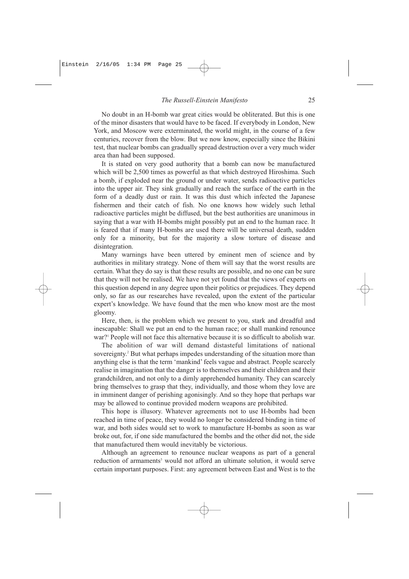#### *The Russell-Einstein Manifesto*

No doubt in an H-bomb war great cities would be obliterated. But this is one of the minor disasters that would have to be faced. If everybody in London, New York, and Moscow were exterminated, the world might, in the course of a few centuries, recover from the blow. But we now know, especially since the Bikini test, that nuclear bombs can gradually spread destruction over a very much wider area than had been supposed.

It is stated on very good authority that a bomb can now be manufactured which will be 2,500 times as powerful as that which destroyed Hiroshima. Such a bomb, if exploded near the ground or under water, sends radioactive particles into the upper air. They sink gradually and reach the surface of the earth in the form of a deadly dust or rain. It was this dust which infected the Japanese fishermen and their catch of fish. No one knows how widely such lethal radioactive particles might be diffused, but the best authorities are unanimous in saying that a war with H-bombs might possibly put an end to the human race. It is feared that if many H-bombs are used there will be universal death, sudden only for a minority, but for the majority a slow torture of disease and disintegration.

Many warnings have been uttered by eminent men of science and by authorities in military strategy. None of them will say that the worst results are certain. What they do say is that these results are possible, and no one can be sure that they will not be realised. We have not yet found that the views of experts on this question depend in any degree upon their politics or prejudices. They depend only, so far as our researches have revealed, upon the extent of the particular expert's knowledge. We have found that the men who know most are the most gloomy.

Here, then, is the problem which we present to you, stark and dreadful and inescapable: Shall we put an end to the human race; or shall mankind renounce war?1 People will not face this alternative because it is so difficult to abolish war.

The abolition of war will demand distasteful limitations of national sovereignty.<sup>2</sup> But what perhaps impedes understanding of the situation more than anything else is that the term 'mankind' feels vague and abstract. People scarcely realise in imagination that the danger is to themselves and their children and their grandchildren, and not only to a dimly apprehended humanity. They can scarcely bring themselves to grasp that they, individually, and those whom they love are in imminent danger of perishing agonisingly. And so they hope that perhaps war may be allowed to continue provided modern weapons are prohibited.

This hope is illusory. Whatever agreements not to use H-bombs had been reached in time of peace, they would no longer be considered binding in time of war, and both sides would set to work to manufacture H-bombs as soon as war broke out, for, if one side manufactured the bombs and the other did not, the side that manufactured them would inevitably be victorious.

Although an agreement to renounce nuclear weapons as part of a general reduction of armaments<sup>3</sup> would not afford an ultimate solution, it would serve certain important purposes. First: any agreement between East and West is to the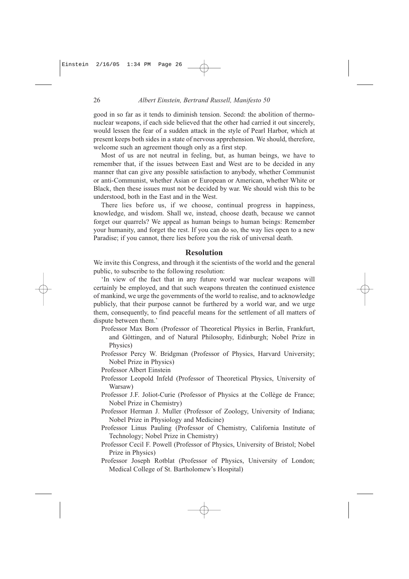#### *Albert Einstein, Bertrand Russell, Manifesto 50*

good in so far as it tends to diminish tension. Second: the abolition of thermonuclear weapons, if each side believed that the other had carried it out sincerely, would lessen the fear of a sudden attack in the style of Pearl Harbor, which at present keeps both sides in a state of nervous apprehension. We should, therefore, welcome such an agreement though only as a first step.

Most of us are not neutral in feeling, but, as human beings, we have to remember that, if the issues between East and West are to be decided in any manner that can give any possible satisfaction to anybody, whether Communist or anti-Communist, whether Asian or European or American, whether White or Black, then these issues must not be decided by war. We should wish this to be understood, both in the East and in the West.

There lies before us, if we choose, continual progress in happiness, knowledge, and wisdom. Shall we, instead, choose death, because we cannot forget our quarrels? We appeal as human beings to human beings: Remember your humanity, and forget the rest. If you can do so, the way lies open to a new Paradise; if you cannot, there lies before you the risk of universal death.

#### **Resolution**

We invite this Congress, and through it the scientists of the world and the general public, to subscribe to the following resolution:

'In view of the fact that in any future world war nuclear weapons will certainly be employed, and that such weapons threaten the continued existence of mankind, we urge the governments of the world to realise, and to acknowledge publicly, that their purpose cannot be furthered by a world war, and we urge them, consequently, to find peaceful means for the settlement of all matters of dispute between them.'

- Professor Max Born (Professor of Theoretical Physics in Berlin, Frankfurt, and Göttingen, and of Natural Philosophy, Edinburgh; Nobel Prize in Physics)
- Professor Percy W. Bridgman (Professor of Physics, Harvard University; Nobel Prize in Physics)

Professor Albert Einstein

- Professor Leopold Infeld (Professor of Theoretical Physics, University of Warsaw)
- Professor J.F. Joliot-Curie (Professor of Physics at the Collège de France; Nobel Prize in Chemistry)
- Professor Herman J. Muller (Professor of Zoology, University of Indiana; Nobel Prize in Physiology and Medicine)

Professor Linus Pauling (Professor of Chemistry, California Institute of Technology; Nobel Prize in Chemistry)

Professor Cecil F. Powell (Professor of Physics, University of Bristol; Nobel Prize in Physics)

Professor Joseph Rotblat (Professor of Physics, University of London; Medical College of St. Bartholomew's Hospital)

26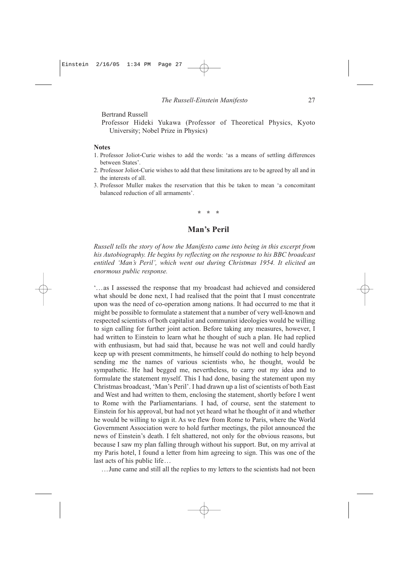#### Bertrand Russell

Professor Hideki Yukawa (Professor of Theoretical Physics, Kyoto University; Nobel Prize in Physics)

#### **Notes**

- 1. Professor Joliot-Curie wishes to add the words: 'as a means of settling differences between States'.
- 2. Professor Joliot-Curie wishes to add that these limitations are to be agreed by all and in the interests of all.
- 3. Professor Muller makes the reservation that this be taken to mean 'a concomitant balanced reduction of all armaments'.

# **\* \* \* Man's Peril**

*Russell tells the story of how the Manifesto came into being in this excerpt from his Autobiography. He begins by reflecting on the response to his BBC broadcast entitled 'Man's Peril', which went out during Christmas 1954. It elicited an enormous public response.*

'...as I assessed the response that my broadcast had achieved and considered what should be done next, I had realised that the point that I must concentrate upon was the need of co-operation among nations. It had occurred to me that it might be possible to formulate a statement that a number of very well-known and respected scientists of both capitalist and communist ideologies would be willing to sign calling for further joint action. Before taking any measures, however, I had written to Einstein to learn what he thought of such a plan. He had replied with enthusiasm, but had said that, because he was not well and could hardly keep up with present commitments, he himself could do nothing to help beyond sending me the names of various scientists who, he thought, would be sympathetic. He had begged me, nevertheless, to carry out my idea and to formulate the statement myself. This I had done, basing the statement upon my Christmas broadcast, 'Man's Peril'. I had drawn up a list of scientists of both East and West and had written to them, enclosing the statement, shortly before I went to Rome with the Parliamentarians. I had, of course, sent the statement to Einstein for his approval, but had not yet heard what he thought of it and whether he would be willing to sign it. As we flew from Rome to Paris, where the World Government Association were to hold further meetings, the pilot announced the news of Einstein's death. I felt shattered, not only for the obvious reasons, but because I saw my plan falling through without his support. But, on my arrival at my Paris hotel, I found a letter from him agreeing to sign. This was one of the last acts of his public life...

...June came and still all the replies to my letters to the scientists had not been

#### 27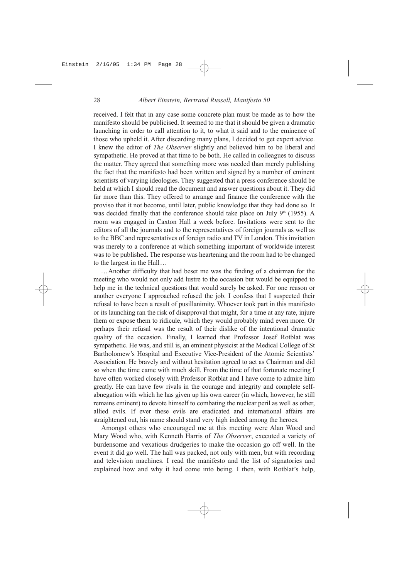28

#### *Albert Einstein, Bertrand Russell, Manifesto 50*

received. I felt that in any case some concrete plan must be made as to how the manifesto should be publicised. It seemed to me that it should be given a dramatic launching in order to call attention to it, to what it said and to the eminence of those who upheld it. After discarding many plans, I decided to get expert advice. I knew the editor of *The Observer* slightly and believed him to be liberal and sympathetic. He proved at that time to be both. He called in colleagues to discuss the matter. They agreed that something more was needed than merely publishing the fact that the manifesto had been written and signed by a number of eminent scientists of varying ideologies. They suggested that a press conference should be held at which I should read the document and answer questions about it. They did far more than this. They offered to arrange and finance the conference with the proviso that it not become, until later, public knowledge that they had done so. It was decided finally that the conference should take place on July  $9<sup>th</sup>$  (1955). A room was engaged in Caxton Hall a week before. Invitations were sent to the editors of all the journals and to the representatives of foreign journals as well as to the BBC and representatives of foreign radio and TV in London. This invitation was merely to a conference at which something important of worldwide interest was to be published. The response was heartening and the room had to be changed to the largest in the Hall...

...Another difficulty that had beset me was the finding of a chairman for the meeting who would not only add lustre to the occasion but would be equipped to help me in the technical questions that would surely be asked. For one reason or another everyone I approached refused the job. I confess that I suspected their refusal to have been a result of pusillanimity. Whoever took part in this manifesto or its launching ran the risk of disapproval that might, for a time at any rate, injure them or expose them to ridicule, which they would probably mind even more. Or perhaps their refusal was the result of their dislike of the intentional dramatic quality of the occasion. Finally, I learned that Professor Josef Rotblat was sympathetic. He was, and still is, an eminent physicist at the Medical College of St Bartholomew's Hospital and Executive Vice-President of the Atomic Scientists' Association. He bravely and without hesitation agreed to act as Chairman and did so when the time came with much skill. From the time of that fortunate meeting I have often worked closely with Professor Rotblat and I have come to admire him greatly. He can have few rivals in the courage and integrity and complete selfabnegation with which he has given up his own career (in which, however, he still remains eminent) to devote himself to combating the nuclear peril as well as other, allied evils. If ever these evils are eradicated and international affairs are straightened out, his name should stand very high indeed among the heroes.

Amongst others who encouraged me at this meeting were Alan Wood and Mary Wood who, with Kenneth Harris of *The Observer*, executed a variety of burdensome and vexatious drudgeries to make the occasion go off well. In the event it did go well. The hall was packed, not only with men, but with recording and television machines. I read the manifesto and the list of signatories and explained how and why it had come into being. I then, with Rotblat's help,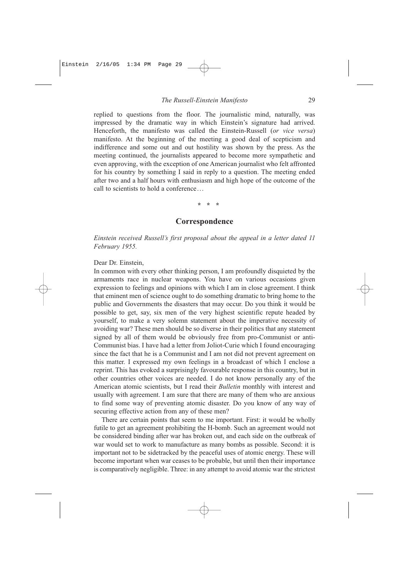replied to questions from the floor. The journalistic mind, naturally, was impressed by the dramatic way in which Einstein's signature had arrived. Henceforth, the manifesto was called the Einstein-Russell (*or vice versa*) manifesto. At the beginning of the meeting a good deal of scepticism and indifference and some out and out hostility was shown by the press. As the meeting continued, the journalists appeared to become more sympathetic and even approving, with the exception of one American journalist who felt affronted for his country by something I said in reply to a question. The meeting ended after two and a half hours with enthusiasm and high hope of the outcome of the call to scientists to hold a conference...

## **\* \* \***

#### **Correspondence**

*Einstein received Russell's first proposal about the appeal in a letter dated 11 February 1955.*

Dear Dr. Einstein,

Einstein 2/16/05 1:34 PM Page 29

In common with every other thinking person, I am profoundly disquieted by the armaments race in nuclear weapons. You have on various occasions given expression to feelings and opinions with which I am in close agreement. I think that eminent men of science ought to do something dramatic to bring home to the public and Governments the disasters that may occur. Do you think it would be possible to get, say, six men of the very highest scientific repute headed by yourself, to make a very solemn statement about the imperative necessity of avoiding war? These men should be so diverse in their politics that any statement signed by all of them would be obviously free from pro-Communist or anti-Communist bias. I have had a letter from Joliot-Curie which I found encouraging since the fact that he is a Communist and I am not did not prevent agreement on this matter. I expressed my own feelings in a broadcast of which I enclose a reprint. This has evoked a surprisingly favourable response in this country, but in other countries other voices are needed. I do not know personally any of the American atomic scientists, but I read their *Bulletin* monthly with interest and usually with agreement. I am sure that there are many of them who are anxious to find some way of preventing atomic disaster. Do you know of any way of securing effective action from any of these men?

There are certain points that seem to me important. First: it would be wholly futile to get an agreement prohibiting the H-bomb. Such an agreement would not be considered binding after war has broken out, and each side on the outbreak of war would set to work to manufacture as many bombs as possible. Second: it is important not to be sidetracked by the peaceful uses of atomic energy. These will become important when war ceases to be probable, but until then their importance is comparatively negligible. Three: in any attempt to avoid atomic war the strictest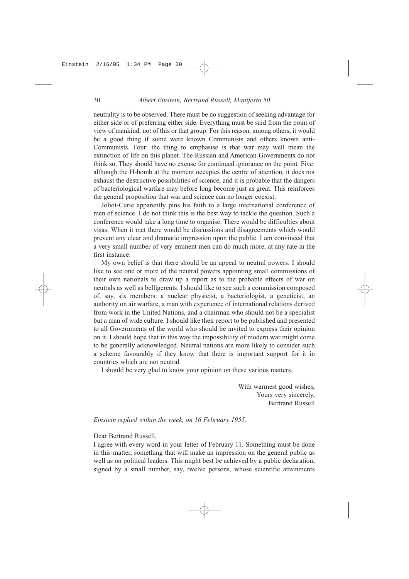30

#### *Albert Einstein, Bertrand Russell, Manifesto 50*

neutrality is to be observed. There must be no suggestion of seeking advantage for either side or of preferring either side. Everything must be said from the point of view of mankind, not of this or that group. For this reason, among others, it would be a good thing if some were known Communists and others known anti-Communists. Four: the thing to emphasise is that war may well mean the extinction of life on this planet. The Russian and American Governments do not think so. They should have no excuse for continued ignorance on the point. Five: although the H-bomb at the moment occupies the centre of attention, it does not exhaust the destructive possibilities of science, and it is probable that the dangers of bacteriological warfare may before long become just as great. This reinforces the general proposition that war and science can no longer coexist.

Joliot-Curie apparently pins his faith to a large international conference of men of science. I do not think this is the best way to tackle the question. Such a conference would take a long time to organise. There would be difficulties about visas. When it met there would be discussions and disagreements which would prevent any clear and dramatic impression upon the public. I am convinced that a very small number of very eminent men can do much more, at any rate in the first instance.

My own belief is that there should be an appeal to neutral powers. I should like to see one or more of the neutral powers appointing small commissions of their own nationals to draw up a report as to the probable effects of war on neutrals as well as belligerents. I should like to see such a commission composed of, say, six members: a nuclear physicist, a bacteriologist, a geneticist, an authority on air warfare, a man with experience of international relations derived from work in the United Nations, and a chairman who should not be a specialist but a man of wide culture. I should like their report to be published and presented to all Governments of the world who should be invited to express their opinion on it. I should hope that in this way the impossibility of modern war might come to be generally acknowledged. Neutral nations are more likely to consider such a scheme favourably if they know that there is important support for it in countries which are not neutral.

I should be very glad to know your opinion on these various matters.

With warmest good wishes, Yours very sincerely, Bertrand Russell

*Einstein replied within the week, on 16 February 1955.*

#### Dear Bertrand Russell,

I agree with every word in your letter of February 11. Something must be done in this matter, something that will make an impression on the general public as well as on political leaders. This might best be achieved by a public declaration, signed by a small number, say, twelve persons, whose scientific attainments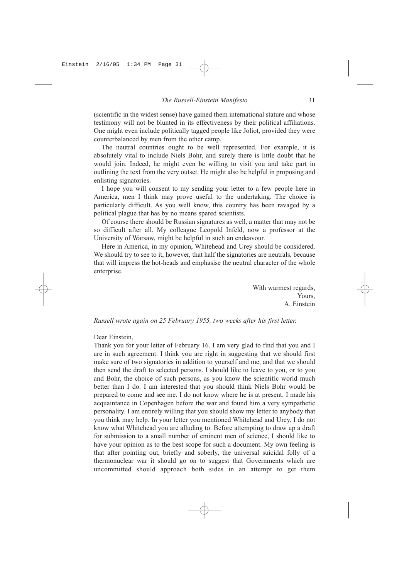#### *The Russell-Einstein Manifesto*

(scientific in the widest sense) have gained them international stature and whose testimony will not be blunted in its effectiveness by their political affiliations. One might even include politically tagged people like Joliot, provided they were counterbalanced by men from the other camp.

The neutral countries ought to be well represented. For example, it is absolutely vital to include Niels Bohr, and surely there is little doubt that he would join. Indeed, he might even be willing to visit you and take part in outlining the text from the very outset. He might also be helpful in proposing and enlisting signatories.

I hope you will consent to my sending your letter to a few people here in America, men I think may prove useful to the undertaking. The choice is particularly difficult. As you well know, this country has been ravaged by a political plague that has by no means spared scientists.

Of course there should be Russian signatures as well, a matter that may not be so difficult after all. My colleague Leopold Infeld, now a professor at the University of Warsaw, might be helpful in such an endeavour.

Here in America, in my opinion, Whitehead and Urey should be considered. We should try to see to it, however, that half the signatories are neutrals, because that will impress the hot-heads and emphasise the neutral character of the whole enterprise.

> With warmest regards, Yours, A. Einstein

#### *Russell wrote again on 25 February 1955, two weeks after his first letter.*

#### Dear Einstein,

Thank you for your letter of February 16. I am very glad to find that you and I are in such agreement. I think you are right in suggesting that we should first make sure of two signatories in addition to yourself and me, and that we should then send the draft to selected persons. I should like to leave to you, or to you and Bohr, the choice of such persons, as you know the scientific world much better than I do. I am interested that you should think Niels Bohr would be prepared to come and see me. I do not know where he is at present. I made his acquaintance in Copenhagen before the war and found him a very sympathetic personality. I am entirely willing that you should show my letter to anybody that you think may help. In your letter you mentioned Whitehead and Urey. I do not know what Whitehead you are alluding to. Before attempting to draw up a draft for submission to a small number of eminent men of science, I should like to have your opinion as to the best scope for such a document. My own feeling is that after pointing out, briefly and soberly, the universal suicidal folly of a thermonuclear war it should go on to suggest that Governments which are uncommitted should approach both sides in an attempt to get them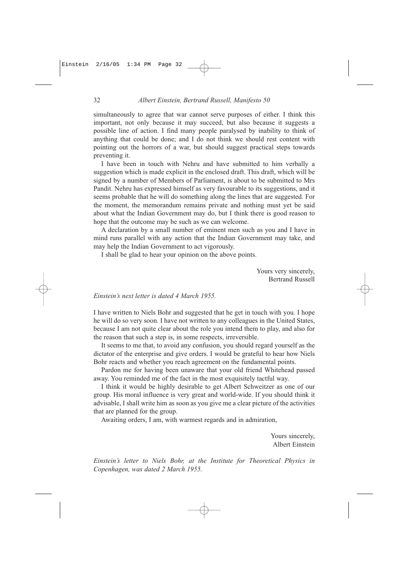32

#### *Albert Einstein, Bertrand Russell, Manifesto 50*

simultaneously to agree that war cannot serve purposes of either. I think this important, not only because it may succeed, but also because it suggests a possible line of action. I find many people paralysed by inability to think of anything that could be done; and I do not think we should rest content with pointing out the horrors of a war, but should suggest practical steps towards preventing it.

I have been in touch with Nehru and have submitted to him verbally a suggestion which is made explicit in the enclosed draft. This draft, which will be signed by a number of Members of Parliament, is about to be submitted to Mrs Pandit. Nehru has expressed himself as very favourable to its suggestions, and it seems probable that he will do something along the lines that are suggested. For the moment, the memorandum remains private and nothing must yet be said about what the Indian Government may do, but I think there is good reason to hope that the outcome may be such as we can welcome.

A declaration by a small number of eminent men such as you and I have in mind runs parallel with any action that the Indian Government may take, and may help the Indian Government to act vigorously.

I shall be glad to hear your opinion on the above points.

Yours very sincerely, Bertrand Russell

#### *Einstein's next letter is dated 4 March 1955.*

I have written to Niels Bohr and suggested that he get in touch with you. I hope he will do so very soon. I have not written to any colleagues in the United States, because I am not quite clear about the role you intend them to play, and also for the reason that such a step is, in some respects, irreversible.

It seems to me that, to avoid any confusion, you should regard yourself as the dictator of the enterprise and give orders. I would be grateful to hear how Niels Bohr reacts and whether you reach agreement on the fundamental points.

Pardon me for having been unaware that your old friend Whitehead passed away. You reminded me of the fact in the most exquisitely tactful way.

I think it would be highly desirable to get Albert Schweitzer as one of our group. His moral influence is very great and world-wide. If you should think it advisable, I shall write him as soon as you give me a clear picture of the activities that are planned for the group.

Awaiting orders, I am, with warmest regards and in admiration,

Yours sincerely, Albert Einstein

*Einstein's letter to Niels Bohr, at the Institute for Theoretical Physics in Copenhagen, was dated 2 March 1955.*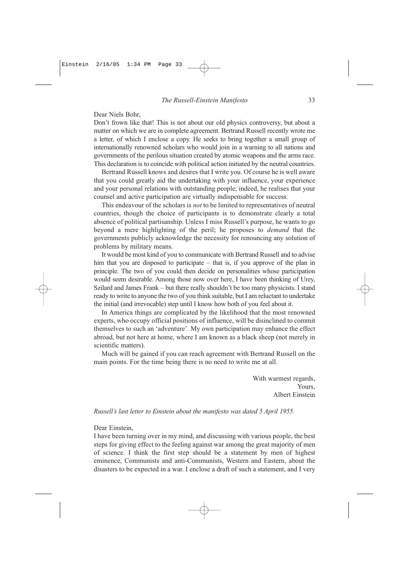Dear Niels Bohr,

Don't frown like that! This is not about our old physics controversy, but about a matter on which we are in complete agreement. Bertrand Russell recently wrote me a letter, of which I enclose a copy. He seeks to bring together a small group of internationally renowned scholars who would join in a warning to all nations and governments of the perilous situation created by atomic weapons and the arms race. This declaration is to coincide with political action initiated by the neutral countries.

Bertrand Russell knows and desires that I write you. Of course he is well aware that you could greatly aid the undertaking with your influence, your experience and your personal relations with outstanding people; indeed, he realises that your counsel and active participation are virtually indispensable for success.

This endeavour of the scholars is *not* to be limited to representatives of neutral countries, though the choice of participants is to demonstrate clearly a total absence of political partisanship. Unless I miss Russell's purpose, he wants to go beyond a mere highlighting of the peril; he proposes to *demand* that the governments publicly acknowledge the necessity for renouncing any solution of problems by military means.

It would be most kind of you to communicate with Bertrand Russell and to advise him that you are disposed to participate – that is, if you approve of the plan in principle. The two of you could then decide on personalities whose participation would seem desirable. Among those now over here, I have been thinking of Urey, Szilard and James Frank – but there really shouldn't be too many physicists. I stand ready to write to anyone the two of you think suitable, but I am reluctant to undertake the initial (and irrevocable) step until I know how both of you feel about it.

In America things are complicated by the likelihood that the most renowned experts, who occupy official positions of influence, will be disinclined to commit themselves to such an 'adventure'. My own participation may enhance the effect abroad, but not here at home, where I am known as a black sheep (not merely in scientific matters).

Much will be gained if you can reach agreement with Bertrand Russell on the main points. For the time being there is no need to write me at all.

> With warmest regards, Yours, Albert Einstein

*Russell's last letter to Einstein about the manifesto was dated 5 April 1955.*

#### Dear Einstein,

I have been turning over in my mind, and discussing with various people, the best steps for giving effect to the feeling against war among the great majority of men of science. I think the first step should be a statement by men of highest eminence, Communists and anti-Communists, Western and Eastern, about the disasters to be expected in a war. I enclose a draft of such a statement, and I very